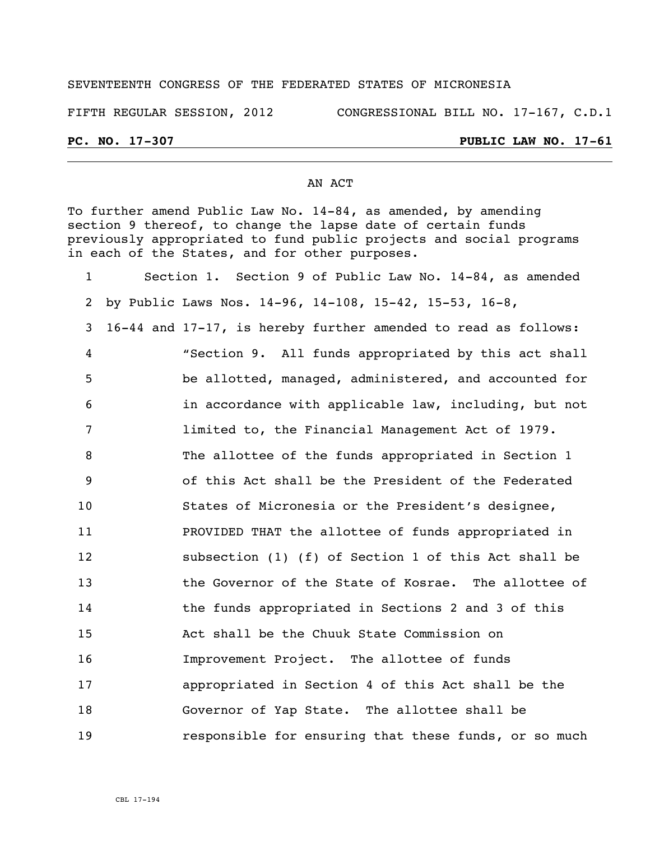## SEVENTEENTH CONGRESS OF THE FEDERATED STATES OF MICRONESIA

FIFTH REGULAR SESSION, 2012 CONGRESSIONAL BILL NO. 17-167, C.D.1

## **PC. NO. 17-307 PUBLIC LAW NO. 17-61**

## AN ACT

To further amend Public Law No. 14-84, as amended, by amending section 9 thereof, to change the lapse date of certain funds previously appropriated to fund public projects and social programs in each of the States, and for other purposes.

| $\mathbf{1}$ | Section 1. Section 9 of Public Law No. 14-84, as amended       |
|--------------|----------------------------------------------------------------|
| 2            | by Public Laws Nos. 14-96, 14-108, 15-42, 15-53, 16-8,         |
| 3            | 16-44 and 17-17, is hereby further amended to read as follows: |
| 4            | "Section 9. All funds appropriated by this act shall           |
| 5            | be allotted, managed, administered, and accounted for          |
| 6            | in accordance with applicable law, including, but not          |
| 7            | limited to, the Financial Management Act of 1979.              |
| 8            | The allottee of the funds appropriated in Section 1            |
| 9            | of this Act shall be the President of the Federated            |
| 10           | States of Micronesia or the President's designee,              |
| 11           | PROVIDED THAT the allottee of funds appropriated in            |
| 12           | subsection (1) (f) of Section 1 of this Act shall be           |
| 13           | the Governor of the State of Kosrae. The allottee of           |
| 14           | the funds appropriated in Sections 2 and 3 of this             |
| 15           | Act shall be the Chuuk State Commission on                     |
| 16           | Improvement Project. The allottee of funds                     |
| 17           | appropriated in Section 4 of this Act shall be the             |
| 18           | Governor of Yap State. The allottee shall be                   |
| 19           | responsible for ensuring that these funds, or so much          |